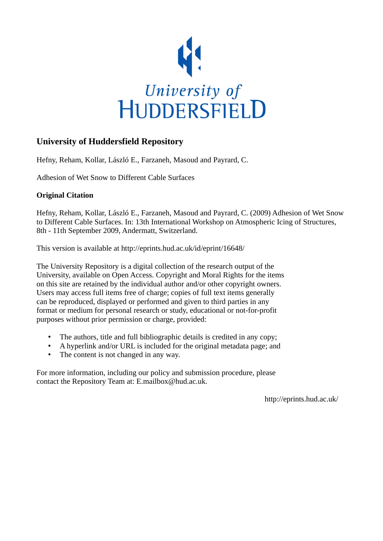

# **University of Huddersfield Repository**

Hefny, Reham, Kollar, László E., Farzaneh, Masoud and Payrard, C.

Adhesion of Wet Snow to Different Cable Surfaces

# **Original Citation**

Hefny, Reham, Kollar, László E., Farzaneh, Masoud and Payrard, C. (2009) Adhesion of Wet Snow to Different Cable Surfaces. In: 13th International Workshop on Atmospheric Icing of Structures, 8th - 11th September 2009, Andermatt, Switzerland.

This version is available at http://eprints.hud.ac.uk/id/eprint/16648/

The University Repository is a digital collection of the research output of the University, available on Open Access. Copyright and Moral Rights for the items on this site are retained by the individual author and/or other copyright owners. Users may access full items free of charge; copies of full text items generally can be reproduced, displayed or performed and given to third parties in any format or medium for personal research or study, educational or not-for-profit purposes without prior permission or charge, provided:

- The authors, title and full bibliographic details is credited in any copy;
- A hyperlink and/or URL is included for the original metadata page; and
- The content is not changed in any way.

For more information, including our policy and submission procedure, please contact the Repository Team at: E.mailbox@hud.ac.uk.

http://eprints.hud.ac.uk/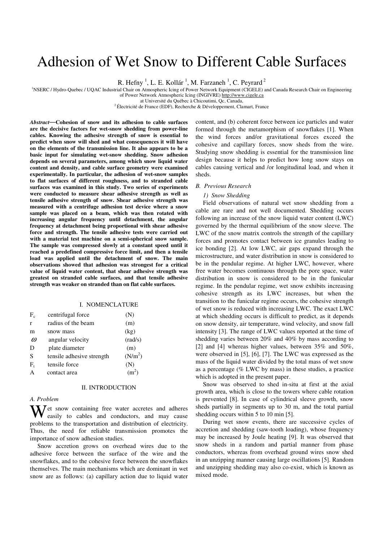# Adhesion of Wet Snow to Different Cable Surfaces

R. Hefny<sup>1</sup>, L. E. Kollár<sup>1</sup>, M. Farzaneh<sup>1</sup>, C. Peyrard<sup>2</sup>

<sup>1</sup>NSERC / Hydro-Quebec / UQAC Industrial Chair on Atmospheric Icing of Power Network Equipment (CIGELE) and Canada Research Chair on Engineering

of Power Network Atmospheric Icing (INGIVRE) http://www.cigele.ca

at Université du Québec à Chicoutimi, Qc, Canada,

<sup>2</sup>Électricité de France (EDF), Recherche & Développement, Clamart, France

*Abstract*—**Cohesion of snow and its adhesion to cable surfaces are the decisive factors for wet-snow shedding from power-line cables. Knowing the adhesive strength of snow is essential to predict when snow will shed and what consequences it will have on the elements of the transmission line. It also appears to be a basic input for simulating wet-snow shedding. Snow adhesion depends on several parameters, among which snow liquid water content and density, and cable surface geometry were examined experimentally. In particular, the adhesion of wet-snow samples to flat surfaces of different roughness, and to stranded cable surfaces was examined in this study. Two series of experiments were conducted to measure shear adhesive strength as well as tensile adhesive strength of snow. Shear adhesive strength was measured with a centrifuge adhesion test device where a snow sample was placed on a beam, which was then rotated with increasing angular frequency until detachment, the angular frequency at detachment being proportional with shear adhesive force and strength. The tensile adhesive tests were carried out with a material test machine on a semi-spherical snow sample. The sample was compressed slowly at a constant speed until it reached a predefined compressive force limit, and then a tensile load was applied until the detachment of snow. The main observations showed that adhesion was strongest for a critical value of liquid water content, that shear adhesive strength was greatest on stranded cable surfaces, and that tensile adhesive strength was weaker on stranded than on flat cable surfaces.** 

#### I. NOMENCLATURE

| $F_c$    | centrifugal force         | (N)                 |
|----------|---------------------------|---------------------|
| r        | radius of the beam        | (m)                 |
| m        | snow mass                 | (kg)                |
| $\omega$ | angular velocity          | (rad/s)             |
| D        | plate diameter            | (m)                 |
| S        | tensile adhesive strength | (N/m <sup>2</sup> ) |
| F,       | tensile force             | (N)                 |
| Α        | contact area              | (m <sup>2</sup> )   |

#### II. INTRODUCTION

# *A. Problem*

Wet snow containing free water accretes and adheres easily to cables and conductors, and may cause easily to cables and conductors, and may cause problems to the transportation and distribution of electricity. Thus, the need for reliable transmission promotes the importance of snow adhesion studies.

Snow accretion grows on overhead wires due to the adhesive force between the surface of the wire and the snowflakes, and to the cohesive force between the snowflakes themselves. The main mechanisms which are dominant in wet snow are as follows: (a) capillary action due to liquid water

content, and (b) coherent force between ice particles and water formed through the metamorphism of snowflakes [1]. When the wind forces and/or gravitational forces exceed the cohesive and capillary forces, snow sheds from the wire. Studying snow shedding is essential for the transmission line design because it helps to predict how long snow stays on cables causing vertical and /or longitudinal load, and when it sheds.

# *B. Previous Research*

### *1) Snow Shedding*

Field observations of natural wet snow shedding from a cable are rare and not well documented. Shedding occurs following an increase of the snow liquid water content (LWC) governed by the thermal equilibrium of the snow sleeve. The LWC of the snow matrix controls the strength of the capillary forces and promotes contact between ice granules leading to ice bonding [2]. At low LWC, air gaps expand through the microstructure, and water distribution in snow is considered to be in the pendular regime. At higher LWC, however, where free water becomes continuous through the pore space, water distribution in snow is considered to be in the funicular regime. In the pendular regime, wet snow exhibits increasing cohesive strength as its LWC increases, but when the transition to the funicular regime occurs, the cohesive strength of wet snow is reduced with increasing LWC. The exact LWC at which shedding occurs is difficult to predict, as it depends on snow density, air temperature, wind velocity, and snow fall intensity [3]. The range of LWC values reported at the time of shedding varies between 20% and 40% by mass according to [2] and [4] whereas higher values, between 35% and 50%, were observed in [5], [6], [7]. The LWC was expressed as the mass of the liquid water divided by the total mass of wet snow as a percentage (% LWC by mass) in these studies, a practice which is adopted in the present paper.

Snow was observed to shed in-situ at first at the axial growth area, which is close to the towers where cable rotation is prevented [8]. In case of cylindrical sleeve growth, snow sheds partially in segments up to 30 m, and the total partial shedding occurs within 5 to 10 min [5].

During wet snow events, there are successive cycles of accretion and shedding (saw-tooth loading), whose frequency may be increased by Joule heating [9]. It was observed that snow sheds in a random and partial manner from phase conductors, whereas from overhead ground wires snow shed in an unzipping manner causing large oscillations [5]. Random and unzipping shedding may also co-exist, which is known as mixed mode.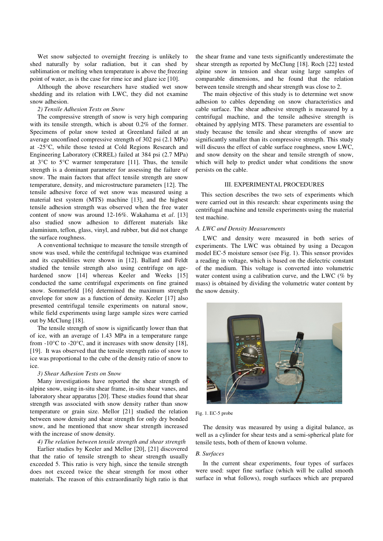Wet snow subjected to overnight freezing is unlikely to shed naturally by solar radiation, but it can shed by sublimation or melting when temperature is above the freezing point of water, as is the case for rime ice and glaze ice [10].

Although the above researchers have studied wet snow shedding and its relation with LWC, they did not examine snow adhesion.

# *2) Tensile Adhesion Tests on Snow*

The compressive strength of snow is very high comparing with its tensile strength, which is about 0.2% of the former. Specimens of polar snow tested at Greenland failed at an average unconfined compressive strength of 302 psi (2.1 MPa) at -25°C, while those tested at Cold Regions Research and Engineering Laboratory (CRREL) failed at 384 psi (2.7 MPa) at  $3^{\circ}$ C to  $5^{\circ}$ C warmer temperature [11]. Thus, the tensile strength is a dominant parameter for assessing the failure of snow. The main factors that affect tensile strength are snow temperature, density, and microstructure parameters [12]. The tensile adhesive force of wet snow was measured using a material test system (MTS) machine [13], and the highest tensile adhesion strength was observed when the free water content of snow was around 12-16%. Wakahama et *al*. [13] also studied snow adhesion to different materials like aluminium, teflon, glass, vinyl, and rubber, but did not change the surface roughness.

A conventional technique to measure the tensile strength of snow was used, while the centrifugal technique was examined and its capabilities were shown in [12]. Ballard and Feldt studied the tensile strength also using centrifuge on agehardened snow [14] whereas Keeler and Weeks [15] conducted the same centrifugal experiments on fine grained snow. Sommerfeld [16] determined the maximum strength envelope for snow as a function of density. Keeler [17] also presented centrifugal tensile experiments on natural snow, while field experiments using large sample sizes were carried out by McClung [18].

The tensile strength of snow is significantly lower than that of ice, with an average of 1.43 MPa in a temperature range from  $-10^{\circ}$ C to  $-20^{\circ}$ C, and it increases with snow density [18], [19]. It was observed that the tensile strength ratio of snow to ice was proportional to the cube of the density ratio of snow to ice.

## *3) Shear Adhesion Tests on Snow*

Many investigations have reported the shear strength of alpine snow, using in-situ shear frame, in-situ shear vanes, and laboratory shear apparatus [20]. These studies found that shear strength was associated with snow density rather than snow temperature or grain size. Mellor [21] studied the relation between snow density and shear strength for only dry bonded snow, and he mentioned that snow shear strength increased with the increase of snow density.

# *4) The relation between tensile strength and shear strength*

Earlier studies by Keeler and Mellor [20], [21] discovered that the ratio of tensile strength to shear strength usually exceeded 5. This ratio is very high, since the tensile strength does not exceed twice the shear strength for most other materials. The reason of this extraordinarily high ratio is that

the shear frame and vane tests significantly underestimate the shear strength as reported by McClung [18]. Roch [22] tested alpine snow in tension and shear using large samples of comparable dimensions, and he found that the relation between tensile strength and shear strength was close to 2.

The main objective of this study is to determine wet snow adhesion to cables depending on snow characteristics and cable surface. The shear adhesive strength is measured by a centrifugal machine, and the tensile adhesive strength is obtained by applying MTS. These parameters are essential to study because the tensile and shear strengths of snow are significantly smaller than its compressive strength. This study will discuss the effect of cable surface roughness, snow LWC, and snow density on the shear and tensile strength of snow, which will help to predict under what conditions the snow persists on the cable.

#### III. EXPERIMENTAL PROCEDURES

This section describes the two sets of experiments which were carried out in this research: shear experiments using the centrifugal machine and tensile experiments using the material test machine.

### *A. LWC and Density Measurements*

LWC and density were measured in both series of experiments. The LWC was obtained by using a Decagon model EC-5 moisture sensor (see Fig. 1). This sensor provides a reading in voltage, which is based on the dielectric constant of the medium. This voltage is converted into volumetric water content using a calibration curve, and the LWC (% by mass) is obtained by dividing the volumetric water content by the snow density.



Fig. 1. EC-5 probe

The density was measured by using a digital balance, as well as a cylinder for shear tests and a semi-spherical plate for tensile tests, both of them of known volume.

# *B. Surfaces*

In the current shear experiments, four types of surfaces were used: super fine surface (which will be called smooth surface in what follows), rough surfaces which are prepared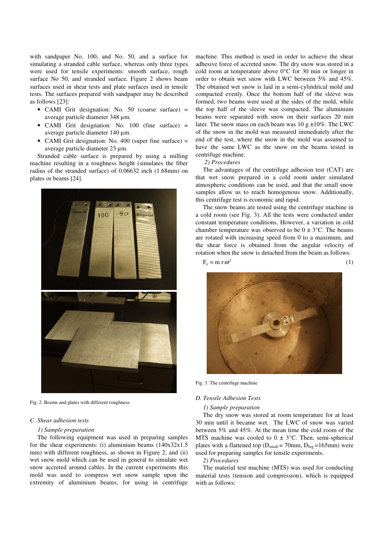with sandpaper No. 100, and No. 50, and a surface for simulating a stranded cable surface, whereas only three types were used for tensile experiments: smooth surface, rough surface No 50, and stranded surface. Figure 2 shows beam surfaces used in shear tests and plate surfaces used in tensile tests. The surfaces prepared with sandpaper may be described as follows [23]:

- CAMI Grit designation: No. 50 (coarse surface) = average particle diameter 348 µm.
- CAMI Grit designation: No. 100 (fine surface) = average particle diameter 140 µm.
- CAMI Grit designation: No. 400 (super fine surface) = average particle diameter 23 µm.

Stranded cable surface is prepared by using a milling machine resulting in a roughness height (simulates the fiber radius of the stranded surface) of 0.06632 inch (1.68mm) on plates or beams [24].



Fig. 2. Beams and plates with different roughness

# *C. Shear adhesion tests*

#### *1) Sample preparation*

The following equipment was used in preparing samples for the shear experiments: (i) aluminium beams (140x32x1.5 mm) with different roughness, as shown in Figure 2, and (ii) wet snow mold which can be used in general to simulate wet snow accreted around cables. In the current experiments this mold was used to compress wet snow sample upon the extremity of aluminium beams, for using in centrifuge machine. This method is used in order to achieve the shear adhesive force of accreted snow. The dry snow was stored in a cold room at temperature above 0°C for 30 min or longer in order to obtain wet snow with LWC between 5% and 45%. The obtained wet snow is laid in a semi-cylindrical mold and compacted evenly. Once the bottom half of the sleeve was formed, two beams were used at the sides of the mold, while the top half of the sleeve was compacted. The aluminium beams were separated with snow on their surfaces 20 min later. The snow mass on each beam was  $10 \text{ g} \pm 10\%$ . The LWC of the snow in the mold was measured immediately after the end of the test, where the snow in the mold was assumed to have the same LWC as the snow on the beams tested in centrifuge machine.

#### *2) Procedures*

The advantages of the centrifuge adhesion test (CAT) are that wet snow prepared in a cold room under simulated atmospheric conditions can be used, and that the small snow samples allow us to reach homogenous snow. Additionally, this centrifuge test is economic and rapid.

The snow beams are tested using the centrifuge machine in a cold room (see Fig. 3). All the tests were conducted under constant temperature conditions. However, a variation in cold chamber temperature was observed to be  $0 \pm 3$ °C. The beams are rotated with increasing speed from 0 to a maximum, and the shear force is obtained from the angular velocity of rotation when the snow is detached from the beam as follows:

 $F_c = m r \omega^2$  (1)



Fig. 3. The centrifuge machine

#### *D. Tensile Adhesion Tests*

#### *1) Sample preparation*

The dry snow was stored at room temperature for at least 30 min until it became wet. The LWC of snow was varied between 5% and 45%. At the mean time the cold room of the MTS machine was cooled to  $0 \pm 3$ °C. Then, semi-spherical plates with a flattened top ( $D<sub>small</sub> = 70mm$ ,  $D<sub>big</sub> = 165mm$ ) were used for preparing samples for tensile experiments.

# *2) Procedures*

The material test machine (MTS) was used for conducting material tests (tension and compression), which is equipped with as follows: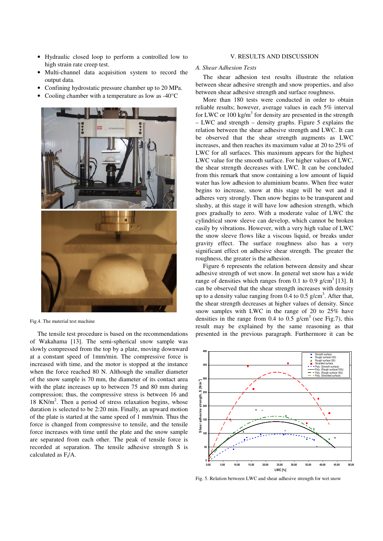- Hydraulic closed loop to perform a controlled low to high strain rate creep test.
- Multi-channel data acquisition system to record the output data.
- Confining hydrostatic pressure chamber up to 20 MPa.
- Cooling chamber with a temperature as low as -40<sup>o</sup>C



Fig.4. The material test machine

The tensile test procedure is based on the recommendations of Wakahama [13]. The semi-spherical snow sample was slowly compressed from the top by a plate, moving downward at a constant speed of 1mm/min. The compressive force is increased with time, and the motor is stopped at the instance when the force reached 80 N. Although the smaller diameter of the snow sample is 70 mm, the diameter of its contact area with the plate increases up to between 75 and 80 mm during compression; thus, the compressive stress is between 16 and 18 KN/m<sup>2</sup>. Then a period of stress relaxation begins, whose duration is selected to be 2:20 min. Finally, an upward motion of the plate is started at the same speed of 1 mm/min. Thus the force is changed from compressive to tensile, and the tensile force increases with time until the plate and the snow sample are separated from each other. The peak of tensile force is recorded at separation. The tensile adhesive strength S is calculated as  $F_t/A$ .

#### *A. Shear Adhesion Tests*

The shear adhesion test results illustrate the relation between shear adhesive strength and snow properties, and also between shear adhesive strength and surface roughness.

More than 180 tests were conducted in order to obtain reliable results; however, average values in each 5% interval for LWC or 100 kg/m<sup>3</sup> for density are presented in the strength – LWC and strength – density graphs. Figure 5 explains the relation between the shear adhesive strength and LWC. It can be observed that the shear strength augments as LWC increases, and then reaches its maximum value at 20 to 25% of LWC for all surfaces. This maximum appears for the highest LWC value for the smooth surface. For higher values of LWC, the shear strength decreases with LWC. It can be concluded from this remark that snow containing a low amount of liquid water has low adhesion to aluminium beams. When free water begins to increase, snow at this stage will be wet and it adheres very strongly. Then snow begins to be transparent and slushy, at this stage it will have low adhesion strength, which goes gradually to zero. With a moderate value of LWC the cylindrical snow sleeve can develop, which cannot be broken easily by vibrations. However, with a very high value of LWC the snow sleeve flows like a viscous liquid, or breaks under gravity effect. The surface roughness also has a very significant effect on adhesive shear strength. The greater the roughness, the greater is the adhesion.

Figure 6 represents the relation between density and shear adhesive strength of wet snow. In general wet snow has a wide range of densities which ranges from 0.1 to 0.9  $g/cm<sup>3</sup>$  [13]. It can be observed that the shear strength increases with density up to a density value ranging from  $0.4$  to  $0.5$  g/cm<sup>3</sup>. After that, the shear strength decreases at higher values of density. Since snow samples with LWC in the range of 20 to 25% have densities in the range from 0.4 to 0.5  $g/cm<sup>3</sup>$  (see Fig.7), this result may be explained by the same reasoning as that presented in the previous paragraph. Furthermore it can be



Fig. 5. Relation between LWC and shear adhesive strength for wet snow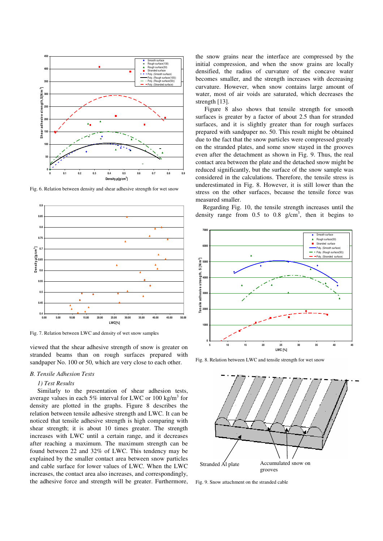

Fig. 6. Relation between density and shear adhesive strength for wet snow



Fig. 7. Relation between LWC and density of wet snow samples

viewed that the shear adhesive strength of snow is greater on stranded beams than on rough surfaces prepared with sandpaper No. 100 or 50, which are very close to each other.

#### *B. Tensile Adhesion Tests*

#### *1) Test Results*

Similarly to the presentation of shear adhesion tests, average values in each 5% interval for LWC or 100 kg/m<sup>3</sup> for density are plotted in the graphs. Figure 8 describes the relation between tensile adhesive strength and LWC. It can be noticed that tensile adhesive strength is high comparing with shear strength; it is about 10 times greater. The strength increases with LWC until a certain range, and it decreases after reaching a maximum. The maximum strength can be found between 22 and 32% of LWC. This tendency may be explained by the smaller contact area between snow particles and cable surface for lower values of LWC. When the LWC increases, the contact area also increases, and correspondingly, the adhesive force and strength will be greater. Furthermore,

the snow grains near the interface are compressed by the initial compression, and when the snow grains are locally densified, the radius of curvature of the concave water becomes smaller, and the strength increases with decreasing curvature. However, when snow contains large amount of water, most of air voids are saturated, which decreases the strength [13].

 Figure 8 also shows that tensile strength for smooth surfaces is greater by a factor of about 2.5 than for stranded surfaces, and it is slightly greater than for rough surfaces prepared with sandpaper no. 50. This result might be obtained due to the fact that the snow particles were compressed greatly on the stranded plates, and some snow stayed in the grooves even after the detachment as shown in Fig. 9. Thus, the real contact area between the plate and the detached snow might be reduced significantly, but the surface of the snow sample was considered in the calculations. Therefore, the tensile stress is underestimated in Fig. 8. However, it is still lower than the stress on the other surfaces, because the tensile force was measured smaller.

Regarding Fig. 10, the tensile strength increases until the density range from  $0.5$  to  $0.8$  g/cm<sup>3</sup>, then it begins to



Fig. 8. Relation between LWC and tensile strength for wet snow



Fig. 9. Snow attachment on the stranded cable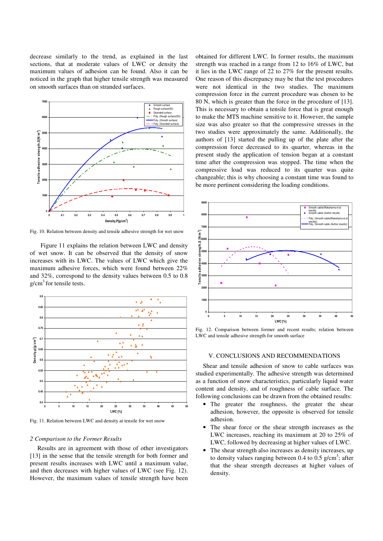decrease similarly to the trend, as explained in the last sections, that at moderate values of LWC or density the maximum values of adhesion can be found. Also it can be noticed in the graph that higher tensile strength was measured on smooth surfaces than on stranded surfaces.



Fig. 10. Relation between density and tensile adhesive strength for wet snow

Figure 11 explains the relation between LWC and density of wet snow. It can be observed that the density of snow increases with its LWC. The values of LWC which give the maximum adhesive forces, which were found between 22% and 32%, correspond to the density values between 0.5 to 0.8  $g/cm<sup>3</sup>$  for tensile tests.



Fig. 11. Relation between LWC and density at tensile for wet snow

#### *2 Comparison to the Former Results*

Results are in agreement with those of other investigators [13] in the sense that the tensile strength for both former and present results increases with LWC until a maximum value, and then decreases with higher values of LWC (see Fig. 12). However, the maximum values of tensile strength have been obtained for different LWC. In former results, the maximum strength was reached in a range from 12 to 16% of LWC, but it lies in the LWC range of 22 to 27% for the present results. One reason of this discrepancy may be that the test procedures were not identical in the two studies. The maximum compression force in the current procedure was chosen to be 80 N, which is greater than the force in the procedure of [13]. This is necessary to obtain a tensile force that is great enough to make the MTS machine sensitive to it. However, the sample size was also greater so that the compressive stresses in the two studies were approximately the same. Additionally, the authors of [13] started the pulling up of the plate after the compression force decreased to its quarter, whereas in the present study the application of tension began at a constant time after the compression was stopped. The time when the compressive load was reduced to its quarter was quite changeable; this is why choosing a constant time was found to be more pertinent considering the loading conditions.



Fig. 12. Comparison between former and recent results; relation between LWC and tensile adhesive strength for smooth surface

# V. CONCLUSIONS AND RECOMMENDATIONS

Shear and tensile adhesion of snow to cable surfaces was studied experimentally. The adhesive strength was determined as a function of snow characteristics, particularly liquid water content and density, and of roughness of cable surface. The following conclusions can be drawn from the obtained results:

- The greater the roughness, the greater the shear adhesion, however, the opposite is observed for tensile adhesion.
- The shear force or the shear strength increases as the LWC increases, reaching its maximum at 20 to 25% of LWC, followed by decreasing at higher values of LWC.
- The shear strength also increases as density increases, up to density values ranging between 0.4 to 0.5  $g/cm^3$ ; after that the shear strength decreases at higher values of density.